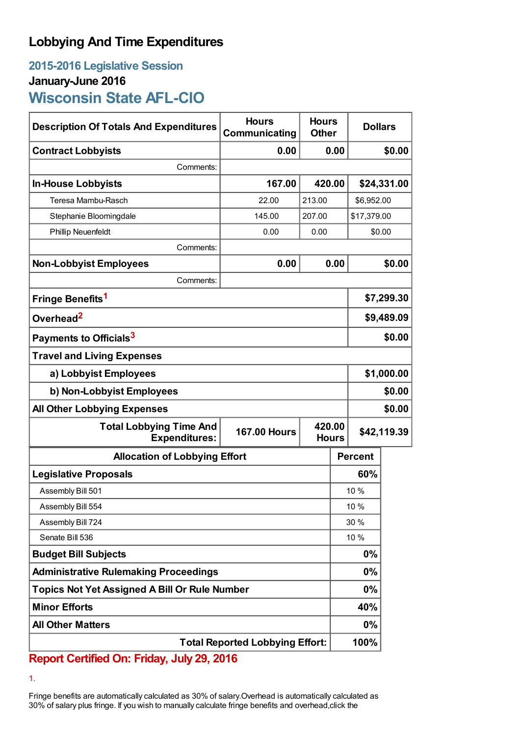## **Lobbying And Time Expenditures**

## **2015-2016 Legislative Session January-June 2016 Wisconsin State AFL-CIO**

| <b>Description Of Totals And Expenditures</b>          | <b>Hours</b><br>Communicating | <b>Hours</b><br><b>Dollars</b><br><b>Other</b> |                                       |                |             |  |
|--------------------------------------------------------|-------------------------------|------------------------------------------------|---------------------------------------|----------------|-------------|--|
| <b>Contract Lobbyists</b>                              | 0.00                          |                                                | 0.00                                  |                | \$0.00      |  |
| Comments:                                              |                               |                                                |                                       |                |             |  |
| <b>In-House Lobbyists</b>                              | 167.00                        |                                                | 420.00                                |                | \$24,331.00 |  |
| Teresa Mambu-Rasch                                     | 22.00                         | 213.00                                         |                                       | \$6,952.00     |             |  |
| Stephanie Bloomingdale                                 | 145.00                        | 207.00                                         |                                       | \$17,379.00    |             |  |
| <b>Phillip Neuenfeldt</b>                              | 0.00                          | 0.00                                           |                                       | \$0.00         |             |  |
| Comments:                                              |                               |                                                |                                       |                |             |  |
| <b>Non-Lobbyist Employees</b>                          | 0.00                          |                                                | 0.00                                  |                | \$0.00      |  |
| Comments:                                              |                               |                                                |                                       |                |             |  |
| Fringe Benefits <sup>1</sup>                           |                               |                                                | \$7,299.30                            |                |             |  |
| Overhead <sup>2</sup>                                  |                               |                                                |                                       | \$9,489.09     |             |  |
| Payments to Officials <sup>3</sup>                     |                               |                                                |                                       | \$0.00         |             |  |
| <b>Travel and Living Expenses</b>                      |                               |                                                |                                       |                |             |  |
| a) Lobbyist Employees                                  |                               |                                                |                                       | \$1,000.00     |             |  |
| b) Non-Lobbyist Employees                              |                               |                                                |                                       | \$0.00         |             |  |
| <b>All Other Lobbying Expenses</b>                     |                               |                                                |                                       | \$0.00         |             |  |
| <b>Total Lobbying Time And</b><br><b>Expenditures:</b> | <b>167.00 Hours</b>           |                                                | 420.00<br>\$42,119.39<br><b>Hours</b> |                |             |  |
| <b>Allocation of Lobbying Effort</b>                   |                               |                                                |                                       | <b>Percent</b> |             |  |
| <b>Legislative Proposals</b>                           |                               |                                                |                                       | 60%            |             |  |
| Assembly Bill 501                                      |                               |                                                |                                       | 10 %           |             |  |
| Assembly Bill 554                                      |                               |                                                |                                       | 10 %           |             |  |
| Assembly Bill 724                                      |                               |                                                |                                       | 30 %           |             |  |
| Senate Bill 536                                        |                               |                                                | 10 %                                  |                |             |  |
| <b>Budget Bill Subjects</b>                            |                               |                                                | 0%                                    |                |             |  |
| <b>Administrative Rulemaking Proceedings</b>           |                               |                                                | 0%                                    |                |             |  |
| <b>Topics Not Yet Assigned A Bill Or Rule Number</b>   |                               |                                                | 0%                                    |                |             |  |
| <b>Minor Efforts</b>                                   |                               |                                                |                                       | 40%            |             |  |
| <b>All Other Matters</b>                               |                               |                                                |                                       | 0%             |             |  |
| <b>Total Reported Lobbying Effort:</b>                 |                               |                                                |                                       | 100%           |             |  |

**Report Certified On: Friday, July 29, 2016**

1.

Fringe benefits are automatically calculated as 30% of salary.Overhead is automatically calculated as 30% of salary plus fringe. If you wish to manually calculate fringe benefits and overhead,click the